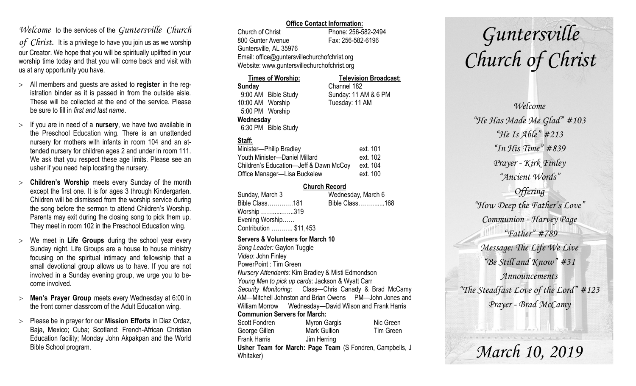### *Welcome* to the services of the *Guntersville Church*

*of Christ*. It is a privilege to have you join us as we worship our Creator. We hope that you will be spiritually uplifted in your worship time today and that you will come back and visit with us at any opportunity you have.

- All members and guests are asked to **register** in the registration binder as it is passed in from the outside aisle. These will be collected at the end of the service. Please be sure to fill in *first and last name*.
- If you are in need of a **nursery**, we have two available in the Preschool Education wing. There is an unattended nursery for mothers with infants in room 104 and an attended nursery for children ages 2 and under in room 111. We ask that you respect these age limits. Please see an usher if you need help locating the nursery.
- **Children's Worship** meets every Sunday of the month except the first one. It is for ages 3 through Kindergarten. Children will be dismissed from the worship service during the song before the sermon to attend Children's Worship. Parents may exit during the closing song to pick them up. They meet in room 102 in the Preschool Education wing.
- We meet in **Life Groups** during the school year every Sunday night. Life Groups are a house to house ministry focusing on the spiritual intimacy and fellowship that a small devotional group allows us to have. If you are not involved in a Sunday evening group, we urge you to become involved.
- **Men's Prayer Group** meets every Wednesday at 6:00 in the front corner classroom of the Adult Education wing.
- Please be in prayer for our **Mission Efforts** in Diaz Ordaz, Baja, Mexico; Cuba; Scotland: French-African Christian Education facility; Monday John Akpakpan and the World Bible School program.

### **Office Contact Information:**

Church of Christ Phone: 256-582-2494 800 Gunter Avenue Fax: 256-582-6196 Guntersville, AL 35976 Email: office@guntersvillechurchofchrist.org Website: www.guntersvillechurchofchrist.org

| <b>Times of Worship:</b> |                     | <b>Television Broadcast:</b> |  |
|--------------------------|---------------------|------------------------------|--|
| Sunday                   |                     | Channel 182                  |  |
|                          | 9:00 AM Bible Study | Sunday: 11 AM & 6 PM         |  |
| 10:00 AM Worship         |                     | Tuesday: 11 AM               |  |
| 5:00 PM Worship          |                     |                              |  |
| Wednesday                |                     |                              |  |
|                          | 6:30 PM Bible Study |                              |  |

### **Staff:**

| Minister-Philip Bradley                | ext. 101 |
|----------------------------------------|----------|
| Youth Minister-Daniel Millard          | ext. 102 |
| Children's Education-Jeff & Dawn McCoy | ext. 104 |
| Office Manager-Lisa Buckelew           | ext. 100 |

### **Church Record**

| Sunday, March 3        | Wednesday, March 6 |
|------------------------|--------------------|
| Bible Class181         | Bible Class168     |
| Worship 319            |                    |
| Evening Worship        |                    |
| Contribution  \$11,453 |                    |
|                        |                    |

#### **Servers & Volunteers for March 10**

*Song Leader:* Gaylon Tuggle *Video*: John Finley PowerPoint : Tim Green *Nursery Attendants:* Kim Bradley & Misti Edmondson *Young Men to pick up cards*: Jackson & Wyatt Carr *Security Monitoring*: Class—Chris Canady & Brad McCamy AM—Mitchell Johnston and Brian Owens PM—John Jones and William Morrow Wednesday—David Wilson and Frank Harris **Communion Servers for March:**  Scott Fondren Myron Gargis Nic Green George Gillen Mark Gullion Tim Green Frank Harris Jim Herring **Usher Team for March: Page Team** (S Fondren, Campbells, J Whitaker)

# *Guntersville Church of Christ*

*Welcome "He Has Made Me Glad" #103 "He Is Able" #213 "In His Time" #839 Prayer - Kirk Finley "Ancient Words" Offering "How Deep the Father's Love" Communion - Harvey Page "Father" #789 Message: The Life We Live "Be Still and Know" #31 Announcements "The Steadfast Love of the Lord" #123 Prayer - Brad McCamy*

*March 10, 2019*